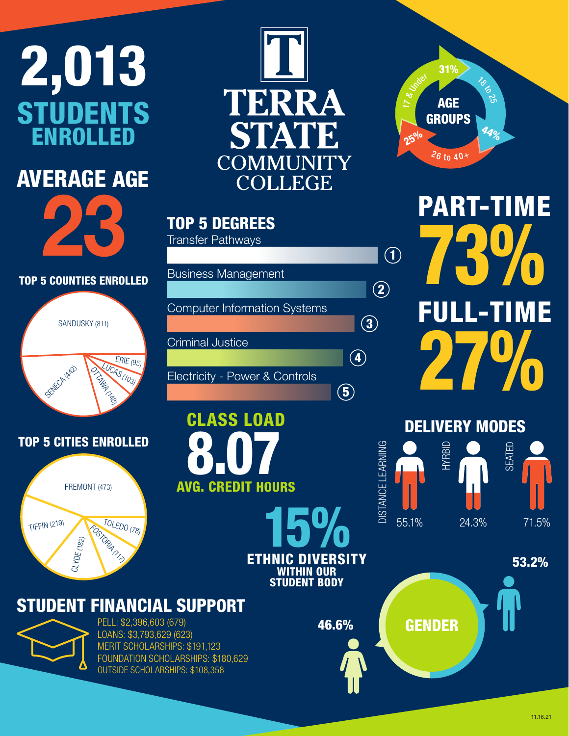